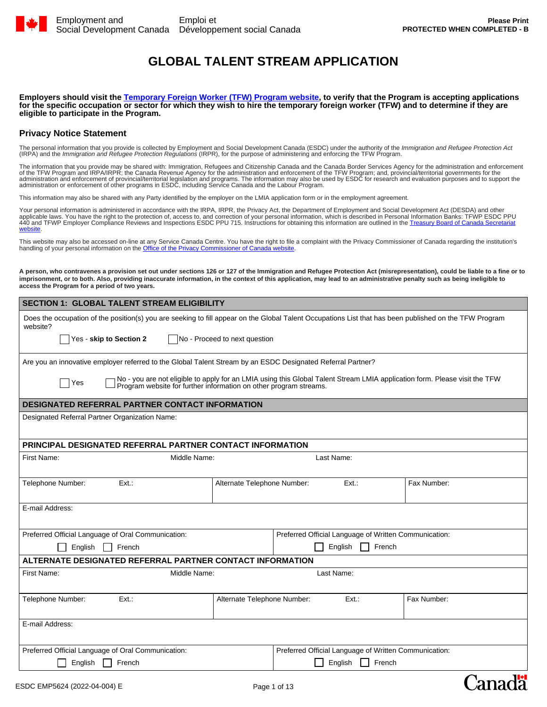

Canada

# **GLOBAL TALENT STREAM APPLICATION**

**Employers should visit the [Temporary Foreign Worker \(TFW\) Program website](https://www.canada.ca/en/employment-social-development/services/foreign-workers.html), to verify that the Program is accepting applications for the specific occupation or sector for which they wish to hire the temporary foreign worker (TFW) and to determine if they are eligible to participate in the Program.**

## **Privacy Notice Statement**

The personal information that you provide is collected by Employment and Social Development Canada (ESDC) under the authority of the *Immigration and Refugee Protection Act*<br>(IRPA) and the *Immigration and Refugee Protecti* 

The information that you provide may be shared with: Immigration, Refugees and Citizenship Canada and the Canada Border Services Agency for the administration and enforcement<br>of the TFW Program and IRPA/IRPR; the Canada Re

This information may also be shared with any Party identified by the employer on the LMIA application form or in the employment agreement.

Your personal information is administered in accordance with the IRPA, IRPR, the Privacy Act, the Department of Employment and Social Development Act (DESDA) and other applicable laws. You have the right to the protection of, access to, and correction of your personal information, which is described in Personal Information Banks: TFWP ESDC PPU<br>440 and TFWP Employer Compliance Reviews and [website](https://www.canada.ca/en/treasury-board-secretariat/services/access-information-privacy/access-information/information-about-programs-information-holdings.html).

This website may also be accessed on-line at any Service Canada Centre. You have the right to file a complaint with the Privacy Commissioner of Canada regarding the institution's handling of your personal information on the [Office of the Privacy Commissioner of Canada website](https://www.priv.gc.ca/en/report-a-concern/file-a-formal-privacy-complaint/file-a-complaint-about-a-federal-institution/).

**A person, who contravenes a provision set out under sections 126 or 127 of the Immigration and Refugee Protection Act (misrepresentation), could be liable to a fine or to imprisonment, or to both. Also, providing inaccurate information, in the context of this application, may lead to an administrative penalty such as being ineligible to access the Program for a period of two years.**

| <b>SECTION 1: GLOBAL TALENT STREAM ELIGIBILITY</b>                                                                                                                 |                                                       |  |                                                       |                                                                                                                            |
|--------------------------------------------------------------------------------------------------------------------------------------------------------------------|-------------------------------------------------------|--|-------------------------------------------------------|----------------------------------------------------------------------------------------------------------------------------|
| Does the occupation of the position(s) you are seeking to fill appear on the Global Talent Occupations List that has been published on the TFW Program<br>website? |                                                       |  |                                                       |                                                                                                                            |
| Yes - skip to Section 2                                                                                                                                            | No - Proceed to next question                         |  |                                                       |                                                                                                                            |
| Are you an innovative employer referred to the Global Talent Stream by an ESDC Designated Referral Partner?                                                        |                                                       |  |                                                       |                                                                                                                            |
| Yes<br>Program website for further information on other program streams.                                                                                           |                                                       |  |                                                       | No - you are not eligible to apply for an LMIA using this Global Talent Stream LMIA application form. Please visit the TFW |
| <b>DESIGNATED REFERRAL PARTNER CONTACT INFORMATION</b>                                                                                                             |                                                       |  |                                                       |                                                                                                                            |
| Designated Referral Partner Organization Name:                                                                                                                     |                                                       |  |                                                       |                                                                                                                            |
| <b>PRINCIPAL DESIGNATED REFERRAL PARTNER CONTACT INFORMATION</b>                                                                                                   |                                                       |  |                                                       |                                                                                                                            |
| First Name:<br>Middle Name:<br>Last Name:                                                                                                                          |                                                       |  |                                                       |                                                                                                                            |
| Telephone Number:<br>Ext.                                                                                                                                          | Alternate Telephone Number:                           |  | Ext.                                                  | Fax Number:                                                                                                                |
| E-mail Address:                                                                                                                                                    |                                                       |  |                                                       |                                                                                                                            |
| Preferred Official Language of Oral Communication:                                                                                                                 |                                                       |  | Preferred Official Language of Written Communication: |                                                                                                                            |
| English<br>French                                                                                                                                                  |                                                       |  | English<br>$\Box$ French                              |                                                                                                                            |
| ALTERNATE DESIGNATED REFERRAL PARTNER CONTACT INFORMATION                                                                                                          |                                                       |  |                                                       |                                                                                                                            |
| First Name:<br>Middle Name:<br>Last Name:                                                                                                                          |                                                       |  |                                                       |                                                                                                                            |
| Telephone Number:<br>Ext.                                                                                                                                          | Alternate Telephone Number:                           |  | Ext.                                                  | Fax Number:                                                                                                                |
| E-mail Address:                                                                                                                                                    |                                                       |  |                                                       |                                                                                                                            |
| Preferred Official Language of Oral Communication:                                                                                                                 | Preferred Official Language of Written Communication: |  |                                                       |                                                                                                                            |
| English<br>French                                                                                                                                                  |                                                       |  | English<br>French                                     |                                                                                                                            |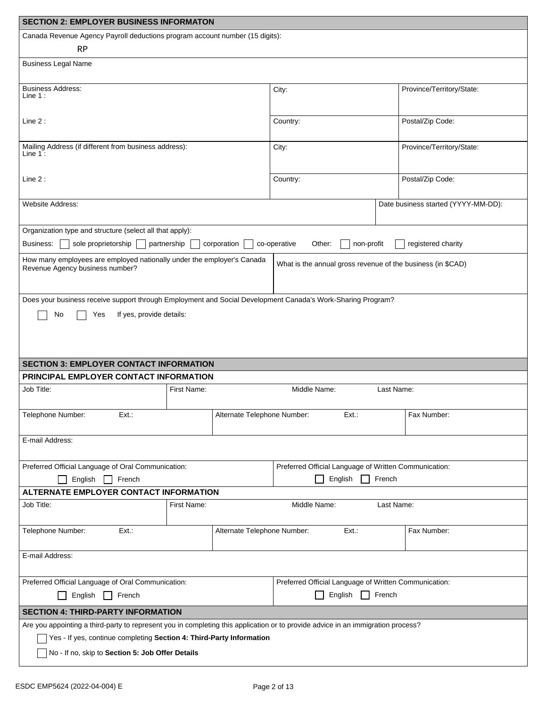| <b>SECTION 2: EMPLOYER BUSINESS INFORMATON</b>                                                                                   |                             |                                                             |                                     |  |
|----------------------------------------------------------------------------------------------------------------------------------|-----------------------------|-------------------------------------------------------------|-------------------------------------|--|
| Canada Revenue Agency Payroll deductions program account number (15 digits):                                                     |                             |                                                             |                                     |  |
| RP                                                                                                                               |                             |                                                             |                                     |  |
| <b>Business Legal Name</b>                                                                                                       |                             |                                                             |                                     |  |
| <b>Business Address:</b><br>Line $1:$                                                                                            |                             | City:                                                       | Province/Territory/State:           |  |
|                                                                                                                                  |                             |                                                             |                                     |  |
| Line 2:                                                                                                                          |                             | Country:                                                    | Postal/Zip Code:                    |  |
|                                                                                                                                  |                             |                                                             |                                     |  |
| Mailing Address (if different from business address):<br>Line $1:$                                                               |                             | City:                                                       | Province/Territory/State:           |  |
|                                                                                                                                  |                             |                                                             |                                     |  |
| Line 2:                                                                                                                          |                             | Country:                                                    | Postal/Zip Code:                    |  |
|                                                                                                                                  |                             |                                                             |                                     |  |
| Website Address:                                                                                                                 |                             |                                                             | Date business started (YYYY-MM-DD): |  |
|                                                                                                                                  |                             |                                                             |                                     |  |
| Organization type and structure (select all that apply):<br>Business:<br>sole proprietorship                                     | partnership<br>corporation  | co-operative<br>non-profit<br>Other:                        | registered charity                  |  |
|                                                                                                                                  |                             |                                                             |                                     |  |
| How many employees are employed nationally under the employer's Canada<br>Revenue Agency business number?                        |                             | What is the annual gross revenue of the business (in \$CAD) |                                     |  |
|                                                                                                                                  |                             |                                                             |                                     |  |
| Does your business receive support through Employment and Social Development Canada's Work-Sharing Program?                      |                             |                                                             |                                     |  |
| If yes, provide details:<br>No<br>Yes                                                                                            |                             |                                                             |                                     |  |
|                                                                                                                                  |                             |                                                             |                                     |  |
|                                                                                                                                  |                             |                                                             |                                     |  |
|                                                                                                                                  |                             |                                                             |                                     |  |
| <b>SECTION 3: EMPLOYER CONTACT INFORMATION</b>                                                                                   |                             |                                                             |                                     |  |
| PRINCIPAL EMPLOYER CONTACT INFORMATION                                                                                           |                             |                                                             |                                     |  |
| Job Title:                                                                                                                       | First Name:                 | Middle Name:                                                | Last Name:                          |  |
| Ext.:<br>Telephone Number:                                                                                                       | Alternate Telephone Number: | Ext.:                                                       | Fax Number:                         |  |
|                                                                                                                                  |                             |                                                             |                                     |  |
| E-mail Address:                                                                                                                  |                             |                                                             |                                     |  |
|                                                                                                                                  |                             |                                                             |                                     |  |
| Preferred Official Language of Oral Communication:                                                                               |                             | Preferred Official Language of Written Communication:       |                                     |  |
| English $\Box$ French                                                                                                            |                             | English $\Box$ French                                       |                                     |  |
| ALTERNATE EMPLOYER CONTACT INFORMATION<br>Job Title:                                                                             | First Name:                 | Middle Name:                                                | Last Name:                          |  |
|                                                                                                                                  |                             |                                                             |                                     |  |
| Telephone Number:<br>Ext.:                                                                                                       | Alternate Telephone Number: | Ext.                                                        | Fax Number:                         |  |
|                                                                                                                                  |                             |                                                             |                                     |  |
| E-mail Address:                                                                                                                  |                             |                                                             |                                     |  |
|                                                                                                                                  |                             |                                                             |                                     |  |
| Preferred Official Language of Oral Communication:<br>Preferred Official Language of Written Communication:                      |                             |                                                             |                                     |  |
| English<br>English $\Box$ French<br>French                                                                                       |                             |                                                             |                                     |  |
| <b>SECTION 4: THIRD-PARTY INFORMATION</b>                                                                                        |                             |                                                             |                                     |  |
| Are you appointing a third-party to represent you in completing this application or to provide advice in an immigration process? |                             |                                                             |                                     |  |
| Yes - If yes, continue completing Section 4: Third-Party Information                                                             |                             |                                                             |                                     |  |
| No - If no, skip to Section 5: Job Offer Details                                                                                 |                             |                                                             |                                     |  |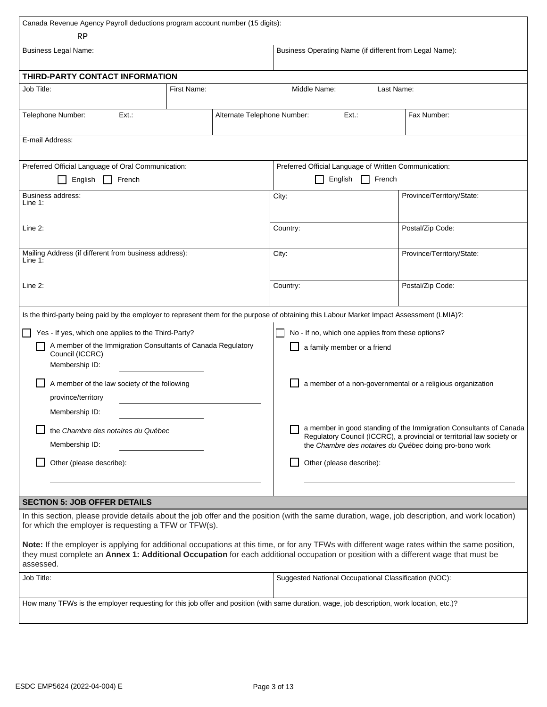| Canada Revenue Agency Payroll deductions program account number (15 digits):                                                                                                                                                                                                                                                                                                                                                                                                                                                                                                                       |             |                                                                                                                                                                                                                                                                      |                                                       |                           |  |
|----------------------------------------------------------------------------------------------------------------------------------------------------------------------------------------------------------------------------------------------------------------------------------------------------------------------------------------------------------------------------------------------------------------------------------------------------------------------------------------------------------------------------------------------------------------------------------------------------|-------------|----------------------------------------------------------------------------------------------------------------------------------------------------------------------------------------------------------------------------------------------------------------------|-------------------------------------------------------|---------------------------|--|
| RP                                                                                                                                                                                                                                                                                                                                                                                                                                                                                                                                                                                                 |             |                                                                                                                                                                                                                                                                      |                                                       |                           |  |
| <b>Business Legal Name:</b>                                                                                                                                                                                                                                                                                                                                                                                                                                                                                                                                                                        |             | Business Operating Name (if different from Legal Name):                                                                                                                                                                                                              |                                                       |                           |  |
| THIRD-PARTY CONTACT INFORMATION                                                                                                                                                                                                                                                                                                                                                                                                                                                                                                                                                                    |             |                                                                                                                                                                                                                                                                      |                                                       |                           |  |
| Job Title:                                                                                                                                                                                                                                                                                                                                                                                                                                                                                                                                                                                         | First Name: |                                                                                                                                                                                                                                                                      | Middle Name:                                          | Last Name:                |  |
|                                                                                                                                                                                                                                                                                                                                                                                                                                                                                                                                                                                                    |             |                                                                                                                                                                                                                                                                      |                                                       |                           |  |
| Telephone Number:<br>Ext.                                                                                                                                                                                                                                                                                                                                                                                                                                                                                                                                                                          |             | Alternate Telephone Number:                                                                                                                                                                                                                                          | Ext.                                                  | Fax Number:               |  |
| E-mail Address:                                                                                                                                                                                                                                                                                                                                                                                                                                                                                                                                                                                    |             |                                                                                                                                                                                                                                                                      |                                                       |                           |  |
| Preferred Official Language of Oral Communication:                                                                                                                                                                                                                                                                                                                                                                                                                                                                                                                                                 |             |                                                                                                                                                                                                                                                                      | Preferred Official Language of Written Communication: |                           |  |
| English<br>French                                                                                                                                                                                                                                                                                                                                                                                                                                                                                                                                                                                  |             |                                                                                                                                                                                                                                                                      | English                                               | French                    |  |
| Business address:                                                                                                                                                                                                                                                                                                                                                                                                                                                                                                                                                                                  |             |                                                                                                                                                                                                                                                                      |                                                       |                           |  |
| Line 1:                                                                                                                                                                                                                                                                                                                                                                                                                                                                                                                                                                                            |             |                                                                                                                                                                                                                                                                      | City:                                                 | Province/Territory/State: |  |
| Line 2:                                                                                                                                                                                                                                                                                                                                                                                                                                                                                                                                                                                            |             |                                                                                                                                                                                                                                                                      | Country:                                              | Postal/Zip Code:          |  |
| Mailing Address (if different from business address):<br>Line 1:                                                                                                                                                                                                                                                                                                                                                                                                                                                                                                                                   |             |                                                                                                                                                                                                                                                                      | City:                                                 | Province/Territory/State: |  |
| Line 2:                                                                                                                                                                                                                                                                                                                                                                                                                                                                                                                                                                                            |             | Country:                                                                                                                                                                                                                                                             | Postal/Zip Code:                                      |                           |  |
| Is the third-party being paid by the employer to represent them for the purpose of obtaining this Labour Market Impact Assessment (LMIA)?:<br>No - If no, which one applies from these options?<br>Yes - If yes, which one applies to the Third-Party?<br>A member of the Immigration Consultants of Canada Regulatory<br>a family member or a friend<br>Council (ICCRC)<br>Membership ID:<br>A member of the law society of the following<br>province/territory<br>Membership ID:<br>the Chambre des notaires du Québec<br>Membership ID:<br>Other (please describe):<br>Other (please describe): |             | a member of a non-governmental or a religious organization<br>a member in good standing of the Immigration Consultants of Canada<br>Regulatory Council (ICCRC), a provincial or territorial law society or<br>the Chambre des notaires du Québec doing pro-bono work |                                                       |                           |  |
| <b>SECTION 5: JOB OFFER DETAILS</b><br>In this section, please provide details about the job offer and the position (with the same duration, wage, job description, and work location)                                                                                                                                                                                                                                                                                                                                                                                                             |             |                                                                                                                                                                                                                                                                      |                                                       |                           |  |
| for which the employer is requesting a TFW or TFW(s).<br>Note: If the employer is applying for additional occupations at this time, or for any TFWs with different wage rates within the same position,<br>they must complete an Annex 1: Additional Occupation for each additional occupation or position with a different wage that must be<br>assessed.                                                                                                                                                                                                                                         |             |                                                                                                                                                                                                                                                                      |                                                       |                           |  |
| Job Title:                                                                                                                                                                                                                                                                                                                                                                                                                                                                                                                                                                                         |             |                                                                                                                                                                                                                                                                      | Suggested National Occupational Classification (NOC): |                           |  |
| How many TFWs is the employer requesting for this job offer and position (with same duration, wage, job description, work location, etc.)?                                                                                                                                                                                                                                                                                                                                                                                                                                                         |             |                                                                                                                                                                                                                                                                      |                                                       |                           |  |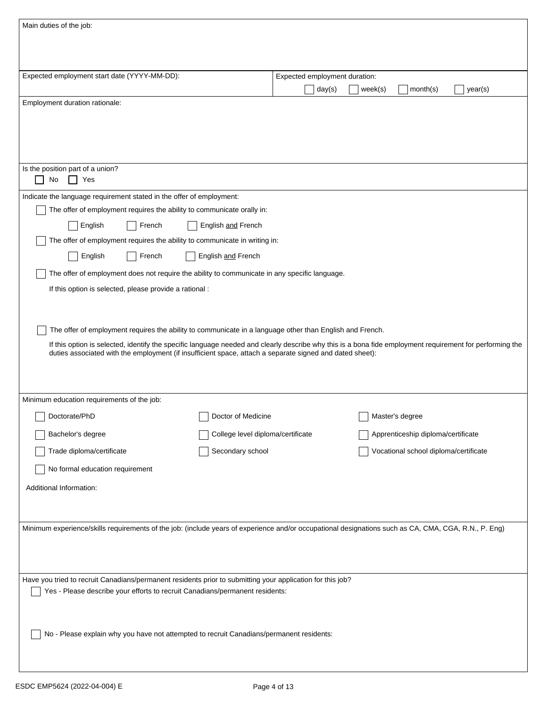| Main duties of the job:                                                                                                                                                                                                                                              |                                   |                               |                                       |  |
|----------------------------------------------------------------------------------------------------------------------------------------------------------------------------------------------------------------------------------------------------------------------|-----------------------------------|-------------------------------|---------------------------------------|--|
|                                                                                                                                                                                                                                                                      |                                   |                               |                                       |  |
|                                                                                                                                                                                                                                                                      |                                   |                               |                                       |  |
| Expected employment start date (YYYY-MM-DD):                                                                                                                                                                                                                         |                                   | Expected employment duration: |                                       |  |
|                                                                                                                                                                                                                                                                      |                                   | day(s)                        | month(s)<br>week(s)<br>year(s)        |  |
| Employment duration rationale:                                                                                                                                                                                                                                       |                                   |                               |                                       |  |
|                                                                                                                                                                                                                                                                      |                                   |                               |                                       |  |
|                                                                                                                                                                                                                                                                      |                                   |                               |                                       |  |
|                                                                                                                                                                                                                                                                      |                                   |                               |                                       |  |
| Is the position part of a union?                                                                                                                                                                                                                                     |                                   |                               |                                       |  |
| No<br>Yes<br>$\blacksquare$                                                                                                                                                                                                                                          |                                   |                               |                                       |  |
| Indicate the language requirement stated in the offer of employment:                                                                                                                                                                                                 |                                   |                               |                                       |  |
| The offer of employment requires the ability to communicate orally in:                                                                                                                                                                                               |                                   |                               |                                       |  |
| English<br>French                                                                                                                                                                                                                                                    | English and French                |                               |                                       |  |
| The offer of employment requires the ability to communicate in writing in:                                                                                                                                                                                           |                                   |                               |                                       |  |
| English<br>French                                                                                                                                                                                                                                                    | English and French                |                               |                                       |  |
| The offer of employment does not require the ability to communicate in any specific language.                                                                                                                                                                        |                                   |                               |                                       |  |
| If this option is selected, please provide a rational :                                                                                                                                                                                                              |                                   |                               |                                       |  |
|                                                                                                                                                                                                                                                                      |                                   |                               |                                       |  |
|                                                                                                                                                                                                                                                                      |                                   |                               |                                       |  |
| The offer of employment requires the ability to communicate in a language other than English and French.                                                                                                                                                             |                                   |                               |                                       |  |
| If this option is selected, identify the specific language needed and clearly describe why this is a bona fide employment requirement for performing the<br>duties associated with the employment (if insufficient space, attach a separate signed and dated sheet): |                                   |                               |                                       |  |
|                                                                                                                                                                                                                                                                      |                                   |                               |                                       |  |
|                                                                                                                                                                                                                                                                      |                                   |                               |                                       |  |
| Minimum education requirements of the job:                                                                                                                                                                                                                           |                                   |                               |                                       |  |
| Doctorate/PhD                                                                                                                                                                                                                                                        | Doctor of Medicine                |                               | Master's degree                       |  |
| ى<br>Bachelor's degree                                                                                                                                                                                                                                               | College level diploma/certificate |                               | Apprenticeship diploma/certificate    |  |
| Trade diploma/certificate                                                                                                                                                                                                                                            | Secondary school                  |                               | Vocational school diploma/certificate |  |
| No formal education requirement                                                                                                                                                                                                                                      |                                   |                               |                                       |  |
|                                                                                                                                                                                                                                                                      |                                   |                               |                                       |  |
| Additional Information:                                                                                                                                                                                                                                              |                                   |                               |                                       |  |
|                                                                                                                                                                                                                                                                      |                                   |                               |                                       |  |
| Minimum experience/skills requirements of the job: (include years of experience and/or occupational designations such as CA, CMA, CGA, R.N., P. Eng)                                                                                                                 |                                   |                               |                                       |  |
|                                                                                                                                                                                                                                                                      |                                   |                               |                                       |  |
|                                                                                                                                                                                                                                                                      |                                   |                               |                                       |  |
|                                                                                                                                                                                                                                                                      |                                   |                               |                                       |  |
| Have you tried to recruit Canadians/permanent residents prior to submitting your application for this job?<br>Yes - Please describe your efforts to recruit Canadians/permanent residents:                                                                           |                                   |                               |                                       |  |
|                                                                                                                                                                                                                                                                      |                                   |                               |                                       |  |
|                                                                                                                                                                                                                                                                      |                                   |                               |                                       |  |
| No - Please explain why you have not attempted to recruit Canadians/permanent residents:                                                                                                                                                                             |                                   |                               |                                       |  |
|                                                                                                                                                                                                                                                                      |                                   |                               |                                       |  |
|                                                                                                                                                                                                                                                                      |                                   |                               |                                       |  |

I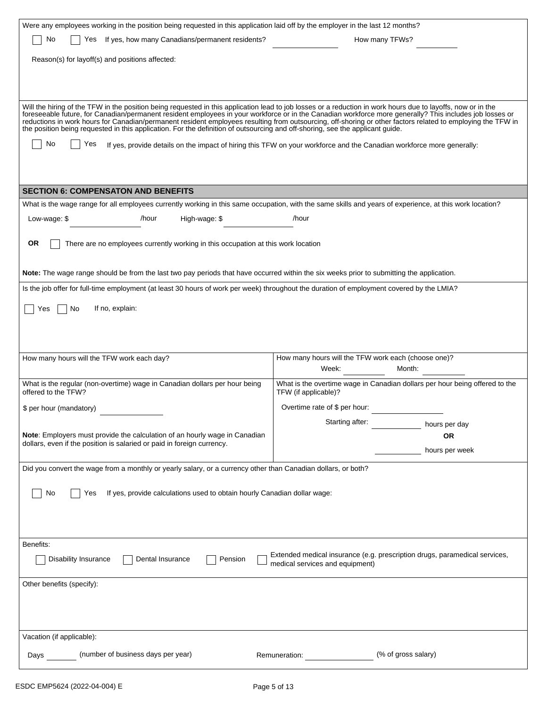| Were any employees working in the position being requested in this application laid off by the employer in the last 12 months?                                                                                                                                                                                                                                                                                                                                                                                                     |                                                                                                                       |
|------------------------------------------------------------------------------------------------------------------------------------------------------------------------------------------------------------------------------------------------------------------------------------------------------------------------------------------------------------------------------------------------------------------------------------------------------------------------------------------------------------------------------------|-----------------------------------------------------------------------------------------------------------------------|
| Yes If yes, how many Canadians/permanent residents?<br>No                                                                                                                                                                                                                                                                                                                                                                                                                                                                          | How many TFWs?                                                                                                        |
| Reason(s) for layoff(s) and positions affected:                                                                                                                                                                                                                                                                                                                                                                                                                                                                                    |                                                                                                                       |
|                                                                                                                                                                                                                                                                                                                                                                                                                                                                                                                                    |                                                                                                                       |
|                                                                                                                                                                                                                                                                                                                                                                                                                                                                                                                                    |                                                                                                                       |
|                                                                                                                                                                                                                                                                                                                                                                                                                                                                                                                                    |                                                                                                                       |
| Will the hiring of the TFW in the position being requested in this application lead to job losses or a reduction in work hours due to layoffs, now or in the<br>foreseeable future, for Canadian/permanent resident employees in your workforce or in the Canadian workforce more generally? This includes job losses or<br>reductions in work hours for Canadian/permanent resident employees re<br>the position being requested in this application. For the definition of outsourcing and off-shoring, see the applicant guide. |                                                                                                                       |
| No<br>Yes                                                                                                                                                                                                                                                                                                                                                                                                                                                                                                                          | If yes, provide details on the impact of hiring this TFW on your workforce and the Canadian workforce more generally: |
|                                                                                                                                                                                                                                                                                                                                                                                                                                                                                                                                    |                                                                                                                       |
|                                                                                                                                                                                                                                                                                                                                                                                                                                                                                                                                    |                                                                                                                       |
| <b>SECTION 6: COMPENSATON AND BENEFITS</b>                                                                                                                                                                                                                                                                                                                                                                                                                                                                                         |                                                                                                                       |
| What is the wage range for all employees currently working in this same occupation, with the same skills and years of experience, at this work location?                                                                                                                                                                                                                                                                                                                                                                           |                                                                                                                       |
| /hour<br>High-wage: \$<br>Low-wage: $$$                                                                                                                                                                                                                                                                                                                                                                                                                                                                                            | /hour                                                                                                                 |
|                                                                                                                                                                                                                                                                                                                                                                                                                                                                                                                                    |                                                                                                                       |
| <b>OR</b><br>There are no employees currently working in this occupation at this work location                                                                                                                                                                                                                                                                                                                                                                                                                                     |                                                                                                                       |
|                                                                                                                                                                                                                                                                                                                                                                                                                                                                                                                                    |                                                                                                                       |
| Note: The wage range should be from the last two pay periods that have occurred within the six weeks prior to submitting the application.                                                                                                                                                                                                                                                                                                                                                                                          |                                                                                                                       |
| Is the job offer for full-time employment (at least 30 hours of work per week) throughout the duration of employment covered by the LMIA?                                                                                                                                                                                                                                                                                                                                                                                          |                                                                                                                       |
|                                                                                                                                                                                                                                                                                                                                                                                                                                                                                                                                    |                                                                                                                       |
| If no, explain:<br>No<br>Yes                                                                                                                                                                                                                                                                                                                                                                                                                                                                                                       |                                                                                                                       |
|                                                                                                                                                                                                                                                                                                                                                                                                                                                                                                                                    |                                                                                                                       |
|                                                                                                                                                                                                                                                                                                                                                                                                                                                                                                                                    |                                                                                                                       |
| How many hours will the TFW work each day?                                                                                                                                                                                                                                                                                                                                                                                                                                                                                         | How many hours will the TFW work each (choose one)?                                                                   |
|                                                                                                                                                                                                                                                                                                                                                                                                                                                                                                                                    | Week:<br>Month:                                                                                                       |
| What is the regular (non-overtime) wage in Canadian dollars per hour being<br>offered to the TFW?                                                                                                                                                                                                                                                                                                                                                                                                                                  | What is the overtime wage in Canadian dollars per hour being offered to the<br>TFW (if applicable)?                   |
| \$ per hour (mandatory)                                                                                                                                                                                                                                                                                                                                                                                                                                                                                                            | Overtime rate of \$ per hour:                                                                                         |
|                                                                                                                                                                                                                                                                                                                                                                                                                                                                                                                                    | Starting after:<br>hours per day                                                                                      |
| Note: Employers must provide the calculation of an hourly wage in Canadian                                                                                                                                                                                                                                                                                                                                                                                                                                                         | <b>OR</b>                                                                                                             |
| dollars, even if the position is salaried or paid in foreign currency.                                                                                                                                                                                                                                                                                                                                                                                                                                                             | hours per week                                                                                                        |
| Did you convert the wage from a monthly or yearly salary, or a currency other than Canadian dollars, or both?                                                                                                                                                                                                                                                                                                                                                                                                                      |                                                                                                                       |
|                                                                                                                                                                                                                                                                                                                                                                                                                                                                                                                                    |                                                                                                                       |
| No<br>Yes<br>If yes, provide calculations used to obtain hourly Canadian dollar wage:                                                                                                                                                                                                                                                                                                                                                                                                                                              |                                                                                                                       |
|                                                                                                                                                                                                                                                                                                                                                                                                                                                                                                                                    |                                                                                                                       |
|                                                                                                                                                                                                                                                                                                                                                                                                                                                                                                                                    |                                                                                                                       |
|                                                                                                                                                                                                                                                                                                                                                                                                                                                                                                                                    |                                                                                                                       |
| Benefits:                                                                                                                                                                                                                                                                                                                                                                                                                                                                                                                          |                                                                                                                       |
| Disability Insurance<br>Dental Insurance<br>Pension                                                                                                                                                                                                                                                                                                                                                                                                                                                                                | Extended medical insurance (e.g. prescription drugs, paramedical services,<br>medical services and equipment)         |
| Other benefits (specify):                                                                                                                                                                                                                                                                                                                                                                                                                                                                                                          |                                                                                                                       |
|                                                                                                                                                                                                                                                                                                                                                                                                                                                                                                                                    |                                                                                                                       |
|                                                                                                                                                                                                                                                                                                                                                                                                                                                                                                                                    |                                                                                                                       |
|                                                                                                                                                                                                                                                                                                                                                                                                                                                                                                                                    |                                                                                                                       |
| Vacation (if applicable):                                                                                                                                                                                                                                                                                                                                                                                                                                                                                                          |                                                                                                                       |
| (number of business days per year)<br>Days                                                                                                                                                                                                                                                                                                                                                                                                                                                                                         | (% of gross salary)<br>Remuneration: <b>Example</b>                                                                   |
|                                                                                                                                                                                                                                                                                                                                                                                                                                                                                                                                    |                                                                                                                       |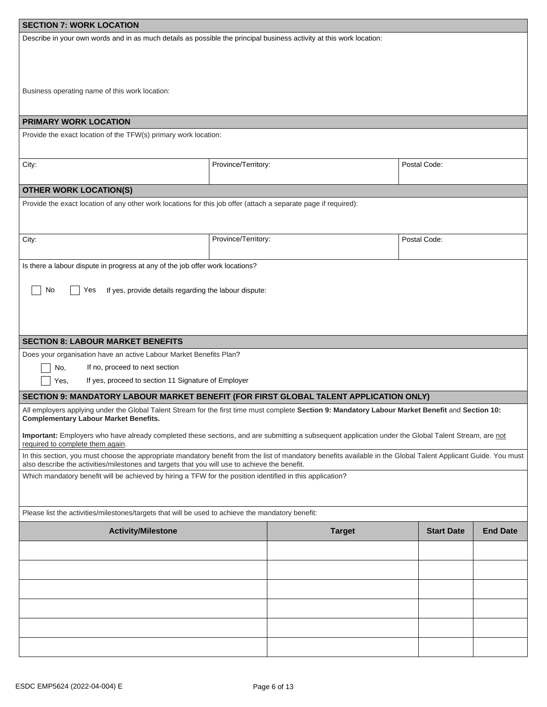| <b>SECTION 7: WORK LOCATION</b>                                                                                                                                                                                                                                  |                                                                                                                                        |               |                   |                 |  |
|------------------------------------------------------------------------------------------------------------------------------------------------------------------------------------------------------------------------------------------------------------------|----------------------------------------------------------------------------------------------------------------------------------------|---------------|-------------------|-----------------|--|
| Describe in your own words and in as much details as possible the principal business activity at this work location:                                                                                                                                             |                                                                                                                                        |               |                   |                 |  |
| Business operating name of this work location:                                                                                                                                                                                                                   |                                                                                                                                        |               |                   |                 |  |
| <b>PRIMARY WORK LOCATION</b>                                                                                                                                                                                                                                     |                                                                                                                                        |               |                   |                 |  |
| Provide the exact location of the TFW(s) primary work location:                                                                                                                                                                                                  |                                                                                                                                        |               |                   |                 |  |
| City:                                                                                                                                                                                                                                                            | Province/Territory:                                                                                                                    |               | Postal Code:      |                 |  |
| <b>OTHER WORK LOCATION(S)</b>                                                                                                                                                                                                                                    |                                                                                                                                        |               |                   |                 |  |
| Provide the exact location of any other work locations for this job offer (attach a separate page if required):                                                                                                                                                  |                                                                                                                                        |               |                   |                 |  |
| City:                                                                                                                                                                                                                                                            | Province/Territory:                                                                                                                    |               | Postal Code:      |                 |  |
| No<br>Yes                                                                                                                                                                                                                                                        | Is there a labour dispute in progress at any of the job offer work locations?<br>If yes, provide details regarding the labour dispute: |               |                   |                 |  |
| <b>SECTION 8: LABOUR MARKET BENEFITS</b>                                                                                                                                                                                                                         |                                                                                                                                        |               |                   |                 |  |
| Does your organisation have an active Labour Market Benefits Plan?<br>If no, proceed to next section<br>No,<br>If yes, proceed to section 11 Signature of Employer<br>Yes,                                                                                       |                                                                                                                                        |               |                   |                 |  |
| SECTION 9: MANDATORY LABOUR MARKET BENEFIT (FOR FIRST GLOBAL TALENT APPLICATION ONLY)                                                                                                                                                                            |                                                                                                                                        |               |                   |                 |  |
| All employers applying under the Global Talent Stream for the first time must complete Section 9: Mandatory Labour Market Benefit and Section 10:<br><b>Complementary Labour Market Benefits.</b>                                                                |                                                                                                                                        |               |                   |                 |  |
| Important: Employers who have already completed these sections, and are submitting a subsequent application under the Global Talent Stream, are not<br>required to complete them again.                                                                          |                                                                                                                                        |               |                   |                 |  |
| In this section, you must choose the appropriate mandatory benefit from the list of mandatory benefits available in the Global Talent Applicant Guide. You must<br>also describe the activities/milestones and targets that you will use to achieve the benefit. |                                                                                                                                        |               |                   |                 |  |
| Which mandatory benefit will be achieved by hiring a TFW for the position identified in this application?                                                                                                                                                        |                                                                                                                                        |               |                   |                 |  |
| Please list the activities/milestones/targets that will be used to achieve the mandatory benefit:                                                                                                                                                                |                                                                                                                                        |               |                   |                 |  |
| <b>Activity/Milestone</b>                                                                                                                                                                                                                                        |                                                                                                                                        | <b>Target</b> | <b>Start Date</b> | <b>End Date</b> |  |
|                                                                                                                                                                                                                                                                  |                                                                                                                                        |               |                   |                 |  |
|                                                                                                                                                                                                                                                                  |                                                                                                                                        |               |                   |                 |  |
|                                                                                                                                                                                                                                                                  |                                                                                                                                        |               |                   |                 |  |
|                                                                                                                                                                                                                                                                  |                                                                                                                                        |               |                   |                 |  |
|                                                                                                                                                                                                                                                                  |                                                                                                                                        |               |                   |                 |  |
|                                                                                                                                                                                                                                                                  |                                                                                                                                        |               |                   |                 |  |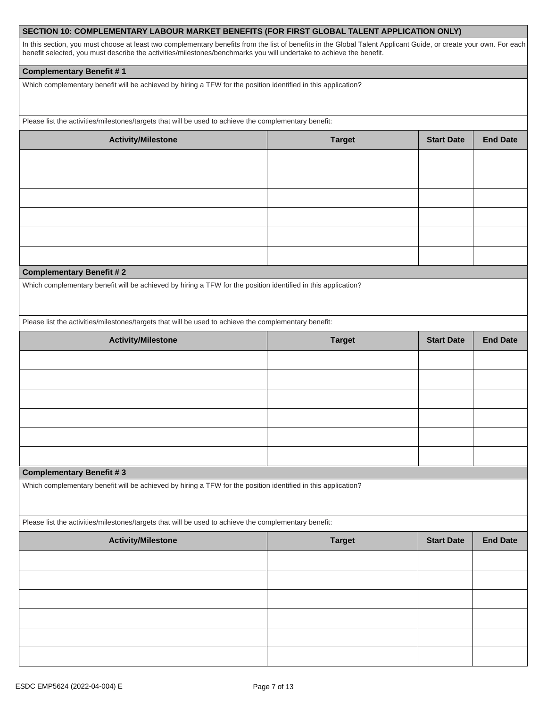### **SECTION 10: COMPLEMENTARY LABOUR MARKET BENEFITS (FOR FIRST GLOBAL TALENT APPLICATION ONLY)**

In this section, you must choose at least two complementary benefits from the list of benefits in the Global Talent Applicant Guide, or create your own. For each benefit selected, you must describe the activities/milestones/benchmarks you will undertake to achieve the benefit.

#### **Complementary Benefit # 1**

Which complementary benefit will be achieved by hiring a TFW for the position identified in this application?

Please list the activities/milestones/targets that will be used to achieve the complementary benefit:

| <b>Activity/Milestone</b>                                                                                       | <b>Target</b> | <b>Start Date</b> | <b>End Date</b> |
|-----------------------------------------------------------------------------------------------------------------|---------------|-------------------|-----------------|
|                                                                                                                 |               |                   |                 |
|                                                                                                                 |               |                   |                 |
|                                                                                                                 |               |                   |                 |
|                                                                                                                 |               |                   |                 |
|                                                                                                                 |               |                   |                 |
| the contract of the contract of the contract of the contract of the contract of the contract of the contract of |               |                   |                 |

#### **Complementary Benefit # 2**

Which complementary benefit will be achieved by hiring a TFW for the position identified in this application?

Please list the activities/milestones/targets that will be used to achieve the complementary benefit:

| <b>Activity/Milestone</b> | <b>Target</b> | <b>Start Date</b> | <b>End Date</b> |
|---------------------------|---------------|-------------------|-----------------|
|                           |               |                   |                 |
|                           |               |                   |                 |
|                           |               |                   |                 |
|                           |               |                   |                 |
|                           |               |                   |                 |
|                           |               |                   |                 |

#### **Complementary Benefit # 3**

Which complementary benefit will be achieved by hiring a TFW for the position identified in this application?

Please list the activities/milestones/targets that will be used to achieve the complementary benefit:

| <b>Activity/Milestone</b> | <b>Target</b> | <b>Start Date</b> | <b>End Date</b> |
|---------------------------|---------------|-------------------|-----------------|
|                           |               |                   |                 |
|                           |               |                   |                 |
|                           |               |                   |                 |
|                           |               |                   |                 |
|                           |               |                   |                 |
|                           |               |                   |                 |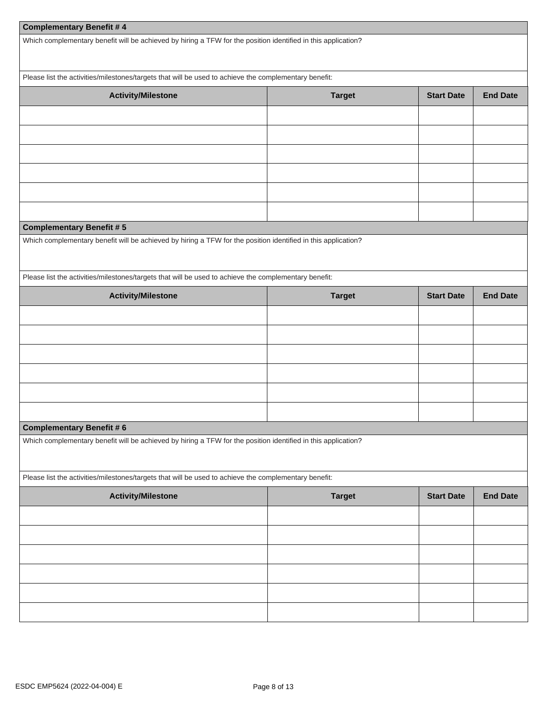## **Complementary Benefit # 4**

Which complementary benefit will be achieved by hiring a TFW for the position identified in this application?

Please list the activities/milestones/targets that will be used to achieve the complementary benefit:

| <b>Activity/Milestone</b>                                                                                     | <b>Target</b> | <b>Start Date</b> | <b>End Date</b> |
|---------------------------------------------------------------------------------------------------------------|---------------|-------------------|-----------------|
|                                                                                                               |               |                   |                 |
|                                                                                                               |               |                   |                 |
|                                                                                                               |               |                   |                 |
|                                                                                                               |               |                   |                 |
|                                                                                                               |               |                   |                 |
|                                                                                                               |               |                   |                 |
| <b>Complementary Benefit #5</b>                                                                               |               |                   |                 |
| Which complementary benefit will be achieved by hiring a TFW for the position identified in this application? |               |                   |                 |
|                                                                                                               |               |                   |                 |
| Please list the activities/milestones/targets that will be used to achieve the complementary benefit:         |               |                   |                 |
| <b>Activity/Milestone</b>                                                                                     | <b>Target</b> | <b>Start Date</b> | <b>End Date</b> |
|                                                                                                               |               |                   |                 |
|                                                                                                               |               |                   |                 |
|                                                                                                               |               |                   |                 |
|                                                                                                               |               |                   |                 |
|                                                                                                               |               |                   |                 |
|                                                                                                               |               |                   |                 |
| <b>Complementary Benefit #6</b>                                                                               |               |                   |                 |
|                                                                                                               |               |                   |                 |
| Which complementary benefit will be achieved by hiring a TFW for the position identified in this application? |               |                   |                 |
| Please list the activities/milestones/targets that will be used to achieve the complementary benefit:         |               |                   |                 |
| <b>Activity/Milestone</b>                                                                                     | <b>Target</b> | <b>Start Date</b> | <b>End Date</b> |
|                                                                                                               |               |                   |                 |
|                                                                                                               |               |                   |                 |
|                                                                                                               |               |                   |                 |
|                                                                                                               |               |                   |                 |
|                                                                                                               |               |                   |                 |
|                                                                                                               |               |                   |                 |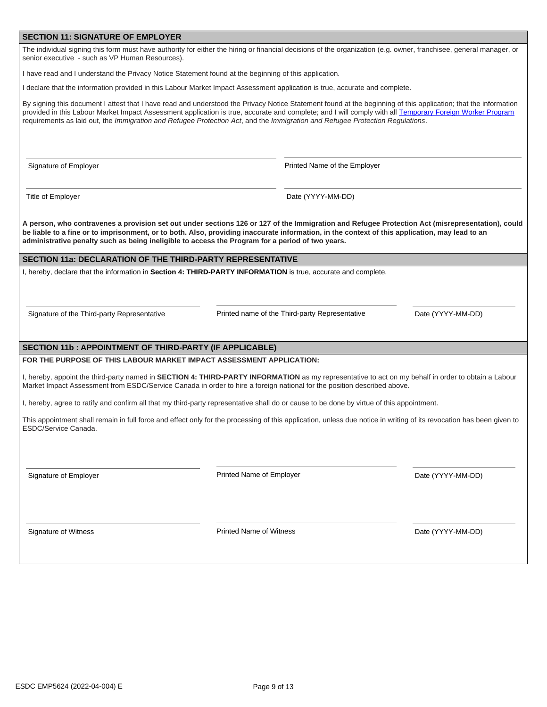#### **SECTION 11: SIGNATURE OF EMPLOYER**

The individual signing this form must have authority for either the hiring or financial decisions of the organization (e.g. owner, franchisee, general manager, or senior executive - such as VP Human Resources).

I have read and I understand the Privacy Notice Statement found at the beginning of this application.

I declare that the information provided in this Labour Market Impact Assessment application is true, accurate and complete.

By signing this document I attest that I have read and understood the Privacy Notice Statement found at the beginning of this application; that the information provided in this Labour Market Impact Assessment application is true, accurate and complete; and I will comply with all [Temporary Foreign Worker Program](https://www.canada.ca/en/employment-social-development/services/foreign-workers/global-talent.html) requirements as laid out, the *Immigration and Refugee Protection Act*, and the *Immigration and Refugee Protection Regulations*.

Signature of Employer **Printed Name of the Employer** Printed Name of the Employer

Title of Employer **Date (YYYY-MM-DD)** 

**A person, who contravenes a provision set out under sections 126 or 127 of the Immigration and Refugee Protection Act (misrepresentation), could be liable to a fine or to imprisonment, or to both. Also, providing inaccurate information, in the context of this application, may lead to an administrative penalty such as being ineligible to access the Program for a period of two years.**

### **SECTION 11a: DECLARATION OF THE THIRD-PARTY REPRESENTATIVE**

I, hereby, declare that the information in **Section 4: THIRD-PARTY INFORMATION** is true, accurate and complete.

Signature of the Third-party Representative Printed name of the Third-party Representative Date (YYYY-MM-DD)

#### **SECTION 11b : APPOINTMENT OF THIRD-PARTY (IF APPLICABLE)**

**FOR THE PURPOSE OF THIS LABOUR MARKET IMPACT ASSESSMENT APPLICATION:** 

I, hereby, appoint the third-party named in **SECTION 4: THIRD-PARTY INFORMATION** as my representative to act on my behalf in order to obtain a Labour Market Impact Assessment from ESDC/Service Canada in order to hire a foreign national for the position described above.

I, hereby, agree to ratify and confirm all that my third-party representative shall do or cause to be done by virtue of this appointment.

This appointment shall remain in full force and effect only for the processing of this application, unless due notice in writing of its revocation has been given to ESDC/Service Canada.

Signature of Employer Printed Name of Employer Date (YYYY-MM-DD)

Signature of Witness Printed Name of Witness Date (YYYY-MM-DD)

Page 9 of 13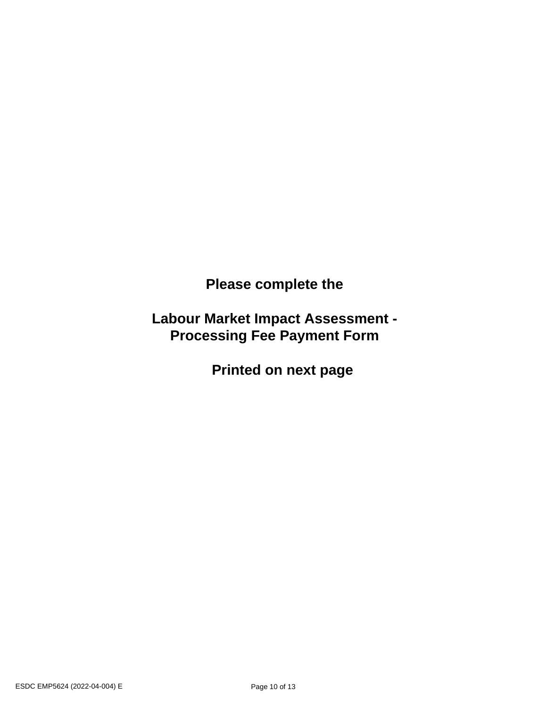**Please complete the** 

**Labour Market Impact Assessment - Processing Fee Payment Form** 

 **Printed on next page**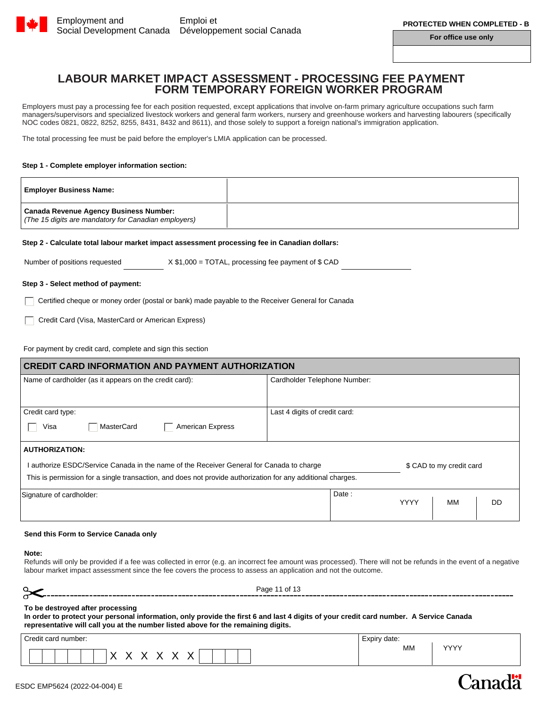

**For office use only**

## **LABOUR MARKET IMPACT ASSESSMENT - PROCESSING FEE PAYMENT FORM TEMPORARY FOREIGN WORKER PROGRAM**

Employers must pay a processing fee for each position requested, except applications that involve on-farm primary agriculture occupations such farm managers/supervisors and specialized livestock workers and general farm workers, nursery and greenhouse workers and harvesting labourers (specifically NOC codes 0821, 0822, 8252, 8255, 8431, 8432 and 8611), and those solely to support a foreign national's immigration application.

The total processing fee must be paid before the employer's LMIA application can be processed.

#### **Step 1 - Complete employer information section:**

| <b>Employer Business Name:</b>                                                                        |  |
|-------------------------------------------------------------------------------------------------------|--|
| <b>Canada Revenue Agency Business Number:</b><br>(The 15 digits are mandatory for Canadian employers) |  |

#### **Step 2 - Calculate total labour market impact assessment processing fee in Canadian dollars:**

Number of positions requested  $X $1,000 = TOTAL$ , processing fee payment of \$ CAD

#### **Step 3 - Select method of payment:**

Certified cheque or money order (postal or bank) made payable to the Receiver General for Canada

Credit Card (Visa, MasterCard or American Express)

For payment by credit card, complete and sign this section

| <b>CREDIT CARD INFORMATION AND PAYMENT AUTHORIZATION</b>                                                    |                               |  |  |  |
|-------------------------------------------------------------------------------------------------------------|-------------------------------|--|--|--|
| Name of cardholder (as it appears on the credit card):                                                      | Cardholder Telephone Number:  |  |  |  |
| Credit card type:                                                                                           | Last 4 digits of credit card: |  |  |  |
| Visa<br>MasterCard<br><b>American Express</b>                                                               |                               |  |  |  |
| <b>AUTHORIZATION:</b>                                                                                       |                               |  |  |  |
| I authorize ESDC/Service Canada in the name of the Receiver General for Canada to charge                    | \$ CAD to my credit card      |  |  |  |
| This is permission for a single transaction, and does not provide authorization for any additional charges. |                               |  |  |  |
| Signature of cardholder:                                                                                    | Date:                         |  |  |  |
|                                                                                                             | <b>YYYY</b><br>MМ<br>DD.      |  |  |  |

#### **Send this Form to Service Canada only**

#### **Note:**

Refunds will only be provided if a fee was collected in error (e.g. an incorrect fee amount was processed). There will not be refunds in the event of a negative labour market impact assessment since the fee covers the process to assess an application and not the outcome.

| - - | Page 1<br>. ot |
|-----|----------------|
|     |                |

#### **To be destroyed after processing**

**In order to protect your personal information, only provide the first 6 and last 4 digits of your credit card number. A Service Canada representative will call you at the number listed above for the remaining digits.**

| Credit card number: | $\overline{\phantom{0}}$<br>Expiry date:<br>– ^ L |            |
|---------------------|---------------------------------------------------|------------|
| . .<br>ີ            | MM                                                | $\sqrt{2}$ |

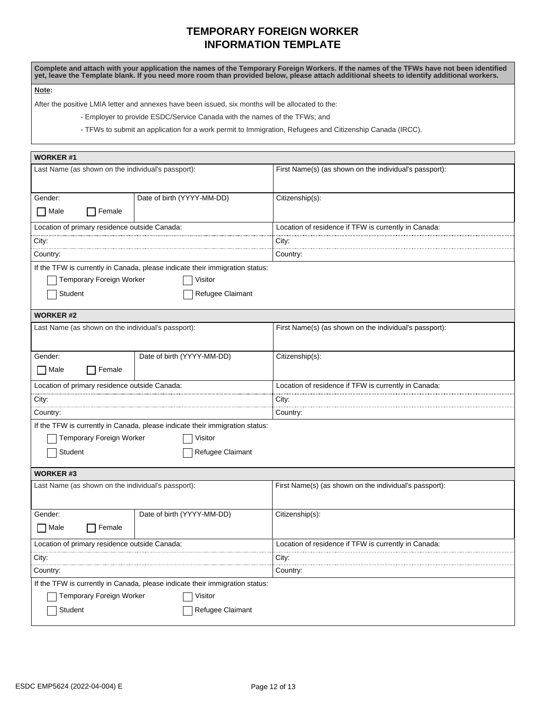## **TEMPORARY FOREIGN WORKER INFORMATION TEMPLATE**

**Complete and attach with your application the names of the Temporary Foreign Workers. If the names of the TFWs have not been identified yet, leave the Template blank. If you need more room than provided below, please attach additional sheets to identify additional workers.**

**Note:** 

After the positive LMIA letter and annexes have been issued, six months will be allocated to the:

- Employer to provide ESDC/Service Canada with the names of the TFWs; and

- TFWs to submit an application for a work permit to Immigration, Refugees and Citizenship Canada (IRCC).

| <b>WORKER#1</b>                                                              |                                                                              |                                                        |  |  |
|------------------------------------------------------------------------------|------------------------------------------------------------------------------|--------------------------------------------------------|--|--|
| Last Name (as shown on the individual's passport):                           |                                                                              | First Name(s) (as shown on the individual's passport): |  |  |
| Gender:                                                                      | Date of birth (YYYY-MM-DD)                                                   | Citizenship(s):                                        |  |  |
| Male<br>Female                                                               |                                                                              |                                                        |  |  |
| Location of primary residence outside Canada:                                |                                                                              | Location of residence if TFW is currently in Canada:   |  |  |
| City:                                                                        |                                                                              | City:                                                  |  |  |
| Country:                                                                     |                                                                              | Country:                                               |  |  |
|                                                                              | If the TFW is currently in Canada, please indicate their immigration status: |                                                        |  |  |
| Temporary Foreign Worker                                                     | Visitor                                                                      |                                                        |  |  |
| Student                                                                      | Refugee Claimant                                                             |                                                        |  |  |
| <b>WORKER#2</b>                                                              |                                                                              |                                                        |  |  |
| Last Name (as shown on the individual's passport):                           |                                                                              | First Name(s) (as shown on the individual's passport): |  |  |
| Gender:                                                                      | Date of birth (YYYY-MM-DD)                                                   | Citizenship(s):                                        |  |  |
| <b>□</b> Male<br>Female                                                      |                                                                              |                                                        |  |  |
| Location of primary residence outside Canada:                                |                                                                              | Location of residence if TFW is currently in Canada:   |  |  |
| City:                                                                        |                                                                              | City:                                                  |  |  |
| Country:                                                                     |                                                                              | Country:                                               |  |  |
|                                                                              | If the TFW is currently in Canada, please indicate their immigration status: |                                                        |  |  |
| Temporary Foreign Worker                                                     | Visitor                                                                      |                                                        |  |  |
| Student                                                                      | Refugee Claimant                                                             |                                                        |  |  |
| WORKER #3                                                                    |                                                                              |                                                        |  |  |
| Last Name (as shown on the individual's passport):                           |                                                                              | First Name(s) (as shown on the individual's passport): |  |  |
| Gender:                                                                      | Date of birth (YYYY-MM-DD)                                                   | Citizenship(s):                                        |  |  |
| Male<br>Female                                                               |                                                                              |                                                        |  |  |
| Location of primary residence outside Canada:                                |                                                                              | Location of residence if TFW is currently in Canada:   |  |  |
| City:                                                                        |                                                                              | City:                                                  |  |  |
| Country:                                                                     |                                                                              | Country:                                               |  |  |
| If the TFW is currently in Canada, please indicate their immigration status: |                                                                              |                                                        |  |  |
| <b>Temporary Foreign Worker</b>                                              | Visitor                                                                      |                                                        |  |  |
| Student<br>Refugee Claimant                                                  |                                                                              |                                                        |  |  |